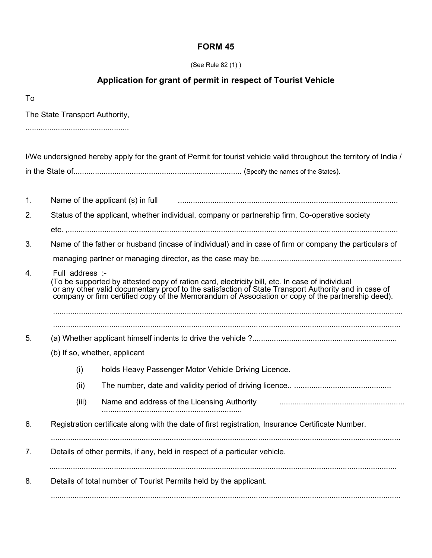## **FORM 45**

| (See Rule 82 (1)) |  |  |
|-------------------|--|--|
|                   |  |  |

## **Application for grant of permit in respect of Tourist Vehicle**

| To |                                                                                                |                                                                                                                                                                                                                                     |  |  |  |
|----|------------------------------------------------------------------------------------------------|-------------------------------------------------------------------------------------------------------------------------------------------------------------------------------------------------------------------------------------|--|--|--|
|    | The State Transport Authority,                                                                 |                                                                                                                                                                                                                                     |  |  |  |
|    |                                                                                                |                                                                                                                                                                                                                                     |  |  |  |
|    |                                                                                                | I/We undersigned hereby apply for the grant of Permit for tourist vehicle valid throughout the territory of India /                                                                                                                 |  |  |  |
|    |                                                                                                |                                                                                                                                                                                                                                     |  |  |  |
| 1. |                                                                                                | Name of the applicant (s) in full                                                                                                                                                                                                   |  |  |  |
| 2. | Status of the applicant, whether individual, company or partnership firm, Co-operative society |                                                                                                                                                                                                                                     |  |  |  |
|    |                                                                                                |                                                                                                                                                                                                                                     |  |  |  |
| 3. |                                                                                                | Name of the father or husband (incase of individual) and in case of firm or company the particulars of                                                                                                                              |  |  |  |
|    |                                                                                                |                                                                                                                                                                                                                                     |  |  |  |
| 4. | Full address :-                                                                                | (To be supported by attested copy of ration card, electricity bill, etc. In case of individual<br>or any other valid documentary proof to the satisfaction of State Transport Authority and in case of<br>company or firm certified |  |  |  |
| 5. |                                                                                                |                                                                                                                                                                                                                                     |  |  |  |
|    |                                                                                                | (b) If so, whether, applicant                                                                                                                                                                                                       |  |  |  |
|    | (i)                                                                                            | holds Heavy Passenger Motor Vehicle Driving Licence.                                                                                                                                                                                |  |  |  |
|    | (ii)                                                                                           |                                                                                                                                                                                                                                     |  |  |  |
|    | (iii)                                                                                          | Name and address of the Licensing Authority                                                                                                                                                                                         |  |  |  |
| 6. |                                                                                                | Registration certificate along with the date of first registration, Insurance Certificate Number.                                                                                                                                   |  |  |  |
| 7. |                                                                                                | Details of other permits, if any, held in respect of a particular vehicle.                                                                                                                                                          |  |  |  |
| 8. | Details of total number of Tourist Permits held by the applicant.                              |                                                                                                                                                                                                                                     |  |  |  |